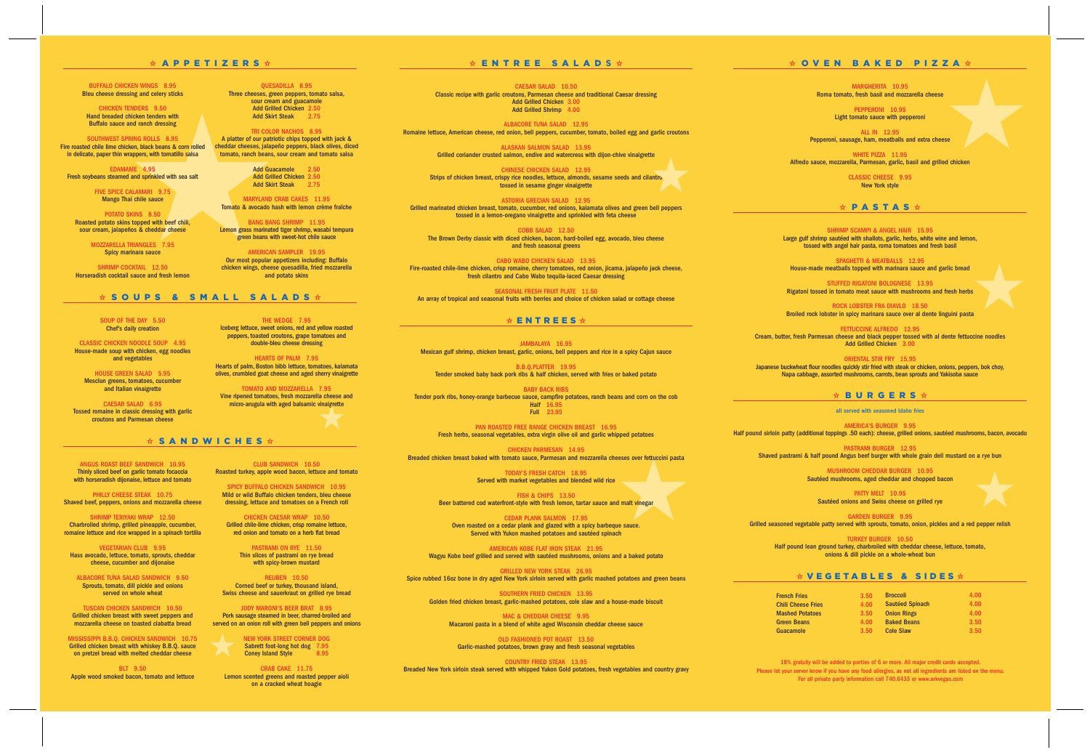| 3.50              | <b>Broccoli</b>        | 4.00 |
|-------------------|------------------------|------|
| 4.00 <sub>1</sub> | <b>Sautéed Spinach</b> | 4.00 |
| 3.50              | <b>Onion Rings</b>     | 4.00 |
| 4.00 <sub>1</sub> | <b>Baked Beans</b>     | 3.50 |
| 3.50              | <b>Cole Slaw</b>       | 3.50 |

PEPPERONI 10.95 Light tomato sauce with pepperoni

MARGHERITA 10.95 Roma tomato, fresh basil and mozzarella cheese

WHITE PIZZA 11.95 Alfredo sauce, mozzarella, Parmesan, garlic, basil and grilled chicken

ALL IN 12.95 Pepperoni, sausage, ham, meatballs and extra cheese

SPAGHETTI & MEATBALLS 12.95 House-made meatballs topped with marinara sauce and garlic bread

CLASSIC CHEESE 9.95 New York style

V **PASTAS** V

SHRIMP SCAMPI & ANGEL HAIR 15.95 Large gulf shrimp sautéed with shallots, garlic, herbs, white wine and lemon, tossed with angel hair pasta, roma tomatoes and fresh basil

STUFFED RIGATONI BOLOGNESE 13.95 Rigatoni tossed in tomato meat sauce with mushrooms and fresh herbs

> PATTY MELT 10.95 Sautéed onions and Swiss cheese on grilled rye

ROCK LOBSTER FRA DIAVLO 18.50 Broiled rock lobster in spicy marinara sauce over al dente linguini pasta

FETTUCCINE ALFREDO 12.95 Cream, butter, fresh Parmesan cheese and black pepper tossed with al dente fettuccine noodles Add Grilled Chicken 3.00

QUESADILLA 8.95 Three cheeses, green peppers, tomato salsa, sour cream and guacamole Add Grilled Chicken 2.50 Add Skirt Steak 2.75

> ORIENTAL STIR FRY 15.95 Japanese buckwheat flour noodles quickly stir fried with steak or chicken, onions, peppers, bok choy, Napa cabbage, assorted mushrooms, carrots, bean sprouts and Yakisoba sauce

Add Guacamole 2.50 Add Grilled Chicken 2.50 Add Skirt Steak 2.75

# **☆ BURGERS ☆**

MARYLAND CRAB CAKES 11.95 Tomato & avocado hash with lemon crème fraîche

all served with seasoned Idaho fries

AMERICA'S BURGER 9.95 Half pound sirloin patty (additional toppings .50 each): cheese, grilled onions, sautéed mushrooms, bacon, avocado

PASTRAMI BURGER 12.95 Shaved pastrami & half pound Angus beef burger with whole grain deli mustard on a rye bun

> MUSHROOM CHEDDAR BURGER 10.95 Sautéed mushrooms, aged cheddar and chopped bacon

GARDEN BURGER 9.95 Grilled seasoned vegetable patty served with sprouts, tomato, onion, pickles and a red pepper relish

PASTRAMI ON RYE 11.50 Thin slices of pastrami on rye bread with spicy-brown mustard

NEW YORK STREET CORNER DOG Sabrett foot-long hot dog 7.95 Coney Island Style 8.95

TURKEY BURGER 10.50 Half pound lean ground turkey, charbroiled with cheddar cheese, lettuce, tomato, onions & dill pickle on a whole-wheat bun

#### **☆VEGETABLES & SIDES☆**

**French Fries Chili Cheese Fries Mashed Potatoes Green Beans Guacamole** 

CAESAR SALAD 10.50 Classic recipe with garlic croutons, Parmesan cheese and traditional Caesar dressing Add Grilled Chicken 3.00 Add Grilled Shrimp 4.00

TRI COLOR NACHOS 8.95 A platter of our patriotic chips topped with jack & cheddar cheeses, jalapeño peppers, black olives, diced tomato, ranch beans, sour cream and tomato salsa

BANG BANG SHRIMP 11.95 Lemon grass marinated tiger shrimp, wasabi tempura green beans with sweet-hot chile sauce

> SEASONAL FRESH FRUIT PLATE 11.50 An array of tropical and seasonal fruits with berries and choice of chicken salad or cottage cheese

# **☆ ENTREES ☆**

AMERICAN SAMPLER 19.95 Our most popular appetizers including: Buffalo chicken wings, cheese quesadilla, fried mozzarella and potato skins

THE WEDGE 7.95 Iceberg lettuce, sweet onions, red and yellow roasted peppers, toasted croutons, grape tomatoes and double-bleu cheese dressing

HEARTS OF PALM 7.95 Hearts of palm, Boston bibb lettuce, tomatoes, kalamata olives, crumbled goat cheese and aged sherry vinaigrette

TOMATO AND MOZZARELLA 7.95 Vine ripened tomatoes, fresh mozzarella cheese and micro-arugula with aged balsamic vinaigrette

#### $\star$  **SOUPS & SMALL SALADS**  $\star$

CLUB SANDWICH 10.50 Roasted turkey, apple wood bacon, lettuce and tomato

SPICY BUFFALO CHICKEN SANDWICH 10.95 Mild or wild Buffalo chicken tenders, bleu cheese dressing, lettuce and tomatoes on a French roll

> MAC & CHEDDAR CHEESE 9.95 Macaroni pasta in a blend of white aged Wisconsin cheddar cheese sauce

CHICKEN CAESAR WRAP 10.50 Grilled chile-lime chicken, crisp romaine lettuce, red onion and tomato on a herb flat bread

REUBEN 10.50 Corned beef or turkey, thousand island, Swiss cheese and sauerkraut on grilled rye bread

JODY MARONI'S BEER BRAT 8.95 Pork sausage steamed in beer, charred-broiled and served on an onion roll with green bell peppers and onions

EDAMAME 4.95 Fresh soybeans steamed and sprinkled with sea salt

> CRAB CAKE 11.75 Lemon scented greens and roasted pepper aïoli on a cracked wheat hoagie

# $\star$  **ENTREE SALADS**  $\star$

SHRIMP COCKTAIL 12.50 Horseradish cocktail sauce and fresh lemon

CLASSIC CHICKEN NOODLE SOUP 4.95 House-made soup with chicken, egg noodles and vegetables

ALBACORE TUNA SALAD 12.95 Romaine lettuce, American cheese, red onion, bell peppers, cucumber, tomato, boiled egg and garlic croutons

> ALASKAN SALMON SALAD 13.95 Grilled coriander crusted salmon, endive and watercress with dijon-chive vinaigrette

CHINESE CHICKEN SALAD 12.95 Strips of chicken breast, crispy rice noodles, lettuce, almonds, sesame seeds and cilantro tossed in sesame ginger vinaigrette

ASTORIA GRECIAN SALAD 12.95 Grilled marinated chicken breast, tomato, cucumber, red onions, kalamata olives and green bell peppers tossed in a lemon-oregano vinaigrette and sprinkled with feta cheese

COBB SALAD 12.50 The Brown Derby classic with diced chicken, bacon, hard-boiled egg, avocado, bleu cheese and fresh seasonal greens

CABO WABO CHICKEN SALAD 13.95 Fire-roasted chile-lime chicken, crisp romaine, cherry tomatoes, red onion, jicama, jalapeño jack cheese, fresh cilantro and Cabo Wabo tequila-laced Caesar dressing

JAMBALAYA 16.95 Mexican gulf shrimp, chicken breast, garlic, onions, bell peppers and rice in a spicy Cajun sauce

B.B.Q.PLATTER 19.95 Tender smoked baby back pork ribs & half chicken, served with fries or baked potato

BABY BACK RIBS Tender pork ribs, honey-orange barbecue sauce, campfire potatoes, ranch beans and corn on the cob Half 16.95 Full 23.95

PAN ROASTED FREE RANGE CHICKEN BREAST 16.95 Fresh herbs, seasonal vegetables, extra virgin olive oil and garlic whipped potatoes

CHICKEN PARMESAN 14.95 Breaded chicken breast baked with tomato sauce, Parmesan and mozzarella cheeses over fettuccini pasta

> TODAY'S FRESH CATCH 18.95 Served with market vegetables and blended wild rice

FISH & CHIPS 13.50 Beer battered cod waterfront-style with fresh lemon, tartar sauce and malt vinegar

CEDAR PLANK SALMON 17.95 Oven roasted on a cedar plank and glazed with a spicy barbeque sauce. Served with Yukon mashed potatoes and sautéed spinach

AMERICAN KOBE FLAT IRON STEAK 21.95 Wagyu Kobe beef grilled and served with sautéed mushrooms, onions and a baked potato

GRILLED NEW YORK STEAK 26.95 Spice rubbed 16oz bone in dry aged New York sirloin served with garlic mashed potatoes and green beans

SOUTHERN FRIED CHICKEN 13.95 Golden fried chicken breast, garlic-mashed potatoes, cole slaw and a house-made biscuit

> OLD FASHIONED POT ROAST 13.50 Garlic-mashed potatoes, brown gravy and fresh seasonal vegetables

COUNTRY FRIED STEAK 13.95 Breaded New York sirloin steak served with whipped Yukon Gold potatoes, fresh vegetables and country gravy

### **☆ OVEN BAKED PIZZA ☆**

18% gratuity will be added to parties of 6 or more. All major credit cards accepted. Please let your server know if you have any food allergies, as not all ingredients are listed on the menu. For all private party information call 740.6433 or www.arkvegas.com

#### $\star$  **APPETIZERS**  $\star$

BUFFALO CHICKEN WINGS 8.95 Bleu cheese dressing and celery sticks

CHICKEN TENDERS 9.50 Hand breaded chicken tenders with Buffalo sauce and ranch dressing

SOUTHWEST SPRING ROLLS 8.95 Fire roasted chile lime chicken, black beans & corn rolled in delicate, paper thin wrappers, with tomatillo salsa

> FIVE SPICE CALAMARI 9.75 Mango Thai chile sauce

POTATO SKINS 8.50 Roasted potato skins topped with beef chili, sour cream, jalapeños & cheddar cheese

> MOZZARELLA TRIANGLES 7.95 Spicy marinara sauce

> > SOUP OF THE DAY 5.50 Chef's daily creation

HOUSE GREEN SALAD 5.95 Mesclun greens, tomatoes, cucumber and Italian vinaigrette

CAESAR SALAD 6.95 Tossed romaine in classic dressing with garlic croutons and Parmesan cheese

 $\star$  **SANDWICHES**  $\star$ 

ANGUS ROAST BEEF SANDWICH 10.95 Thinly sliced beef on garlic tomato focaccia with horseradish dijonaise, lettuce and tomato

PHILLY CHEESE STEAK 10.75 Shaved beef, peppers, onions and mozzarella cheese

SHRIMP TERIYAKI WRAP 12.50 Charbroiled shrimp, grilled pineapple, cucumber, romaine lettuce and rice wrapped in a spinach tortilla

VEGETARIAN CLUB 9.95 Hass avocado, lettuce, tomato, sprouts, cheddar cheese, cucumber and dijonaise

ALBACORE TUNA SALAD SANDWICH 9.50 Sprouts, tomato, dill pickle and onions served on whole wheat

TUSCAN CHICKEN SANDWICH 10.50 Grilled chicken breast with sweet peppers and mozzarella cheese on toasted ciabatta bread

MISSISSIPPI B.B.Q. CHICKEN SANDWICH 10.75 Grilled chicken breast with whiskey B.B.Q. sauce on pretzel bread with melted cheddar cheese

BLT 9.50 Apple wood smoked bacon, tomato and lettuce